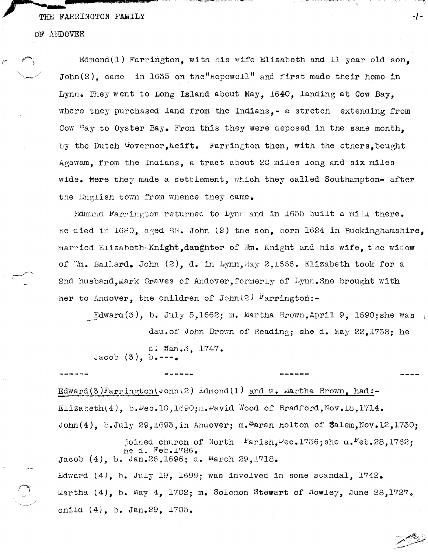#### THE FARRINGTON FAMILY

#### OF ANDOVER

Edmond(l) Farrington, witn his wife Elizabeth and 11 year old son, John(2), came in 1635 on the "Hopewell" and first made their home in Lynn. They went to Long Island about May, 1640, landing at Cow Bay, where they purchased land from the Indians,- a stretch extending from Cow  $P_{\text{ay}}$  to Oyster Bay. From this they were deposed in the same month. by the Dutch Governor, Keift. Farrington then, with the others, bought Agawam, from the Indians, a tract about 20 miles long and six miles wide. Here they made a settlement, which they called Southampton- after the English town from whence they came.

-/-

Edmund Farrington returned to Lynn and in 1655 built a mill there. he died in 1680, aged 88. John (2) tne son, born 1624 in Buckinghamshire, married Elizabeth-Knight, daughter of ''m. Knight and his wife, the widow of Mm. Ballard. John (2), d. in-Lynn, May 2,1666. Elizabeth took for a 2nd husband, mark Graves of Andover, formerly of Lynn. She brought with her to Andover, the children of John (2)  $F_{\text{arrington}}$ .

Edwara.(3), b. July 5,1662; ra. limrtha Brown,April 9, l690;she was --- dau.of .John Brovm of Reading; she d. }';lay 22,1738; he d. Jan.3. 1747. Jacob  $(3)$ , b. ---.

Edward (3) Farrington (John (2) Edmond (1) and w. Martha Brown, had:-Elizabeth(4), b.Dec.10,1690;m.David Wood of Bradford, Nov.18,1714. John(4), b.July 29,1693, in Anuover; m. Sarah Holton of Salem, Nov.12,1730;

------

joined church of North  $\text{Partial}$ . $\text{Dec.1736; she}$  a.<sup>F</sup>eb.28,1762; he d. Feb.1786. Jacob (4), b. Jan.26,1696; d. Harch 29,1718. Edward  $(4)$ , b. July 19, 1699; was involved in some scandal, 1742. Martha  $(4)$ , b. May  $4$ , 1702; m. Solomon Stewart of Howley, June 28,1727. Chila (4), b. Jan.29, *1705.*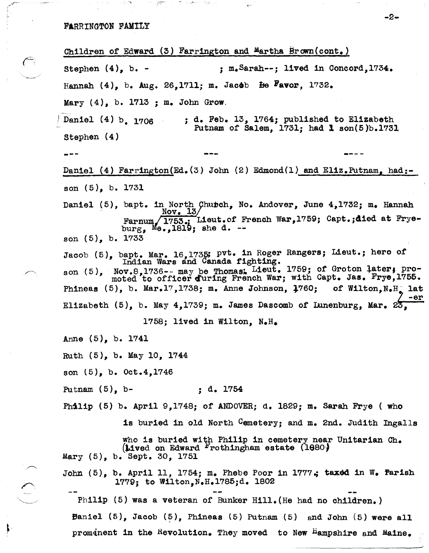# FARRINGTON FAMILY

 $, \times$ 

 $\blacksquare$ 

Children of Edward (3) Farrington and Martha Brown(cont.) Stephen  $(4)$ , b. - ; m. Sarah--; lived in Concord, 1734. Hannah  $(4)$ , b. Aug. 26,1711; m. Jacob  $\overline{B}$ avor, 1732. Mary (4), b. 1713 ; m. John Grow. Daniel (4) b. 1706 stephen (4) --- ; d. Feb. 13, 1764; published to Elizabeth Putnam of Salem, 1731; had 1 son(5)b.1731 Daniel (4) Farrington(Ed.(3) John (2) Edmond(1) and Eliz.Putnam, had:son (5), b. 1731 Daniel (5), bapt. in North Chubch, No. Andover, June 4,1732; m. Hannah  $Nov. 13/$  $\texttt{Farnum}/\overbrace{1753}_{\texttt{i}:1}$ Lieut.of French War,1759; Capt.;died at Fryeburg,  $Me$ , 1819; she d. -son (5), b. 1733 Jacob (5), bapt. Mar. 16,1735; pyt. in Roger Rangers; Lieut.; hero of Indian Wars and Canada fighting. son (5), Nov.8,1736-- may be Thomas. Lieut. 1759; of Groton later; pro-<br>moted to officer during French War; with Capt. Jas. Frye,1755. Phineas  $(5)$ , b. Mar.17,1738; m. Anne Johnson,  $1760$ ; of Wilton, N.H. lat - 0r Elizabeth (5), b. May  $4,1739$ ; m. James Dascomb of Lunenburg, Mar.  $25$ . 1758; lived in Wilton, N.H. Anne (5), b. 1741 Ruth (5), b. May 10, 1744 son (5), b. Oct.4,1746 Putnam (5), b-<br>; d. 1754 Philip (5) b. April 9,1748; of ANDOVER; d. 1829; m. Sarah Frye ( who is buried in old North Cemetery; and m. 2nd. Judith Ingalls who 1s buried with Philip in cemetery near Unitarian Ch.  $(i$ ived on Edward  $i'$ rothingham estate  $(i000)$ Mary (5), b. Sept. 30, 1751 John  $(5)$ , b. April 11, 1754; m. Phebe Poor in 1777.; taxed in W. Parish 1779; to Wilton,N.H.1785;d. 1802 Philip (5) was a veteran of Bunker Hill. (He had no children.) Baniel  $(5)$ , Jacob  $(5)$ , Phineas  $(5)$  Putnam  $(5)$  and John  $(5)$  were all prominent in the Revolution. They moved to New Hampshire and Maine.

-2-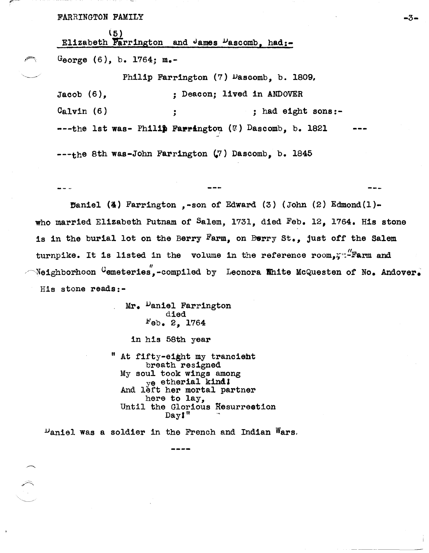FARRINGTON FAMILY

l5) Elizabeth Farrington and James  $\nu$ ascomb, had:-George (6), b. 1764; m.-

Jacob (6), Calvin (6) Philip Farrington (7) Dascomb, b. 1809, ; Deacon; lived in ANDOVER , : had eight sons:- $---$ the 1st was- Philip Farrington ( $\nu$ ) Dascomb, b. 1821

 $---$ the 8th was-John Farrington  $(7)$  Dascomb, b. 1845

Baniel (4) Farrington ,-son of Edward (3) (John  $(2)$  Edmond $(1)$ who married Elizabeth Putnam of Salem, 1731, died Feb. 12, 1764. His stone is in the burial lot on the Berry Farm, on Berry  $St_{\bullet}$ , just off the Salem turnpike. It is listed in the volume in the reference  $\operatorname{room}_{\mathfrak{s}}$ :- $\operatorname{Farm}$  and  $\sim$ Neighborhoon  $^{\text{G}}$ emeteries,-compiled by Leonora White McQuesten of No. Andover. His stone reads:-

> Mr. Daniel Farrington<br>died b'eb. 2, 1764 in his 58th year At fifty-eight my trancient<br>breath resigned My soul took wings among ye etherial kind!<br>And left her mortal partner here to lay,<br>Until the Glorious Resurrestion Dayl"

 $\nu$ aniel was a soldier in the French and Indian Wars.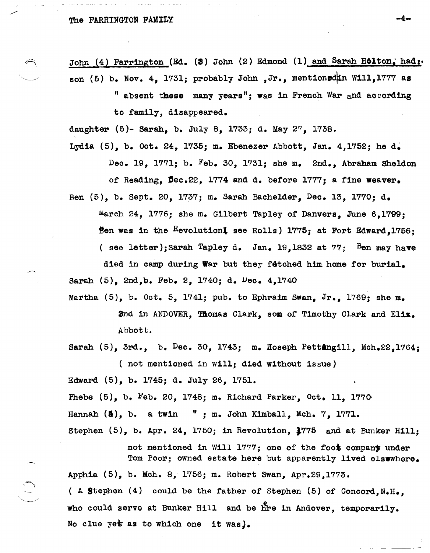### The FARRINGTON FAMILY

John (4) Farrington (Ed. (3) John (2) Edmond (1) and Sarah Holton, had: son (5) b. Nov. 4, 1731; probably John , Jr., mentioned in Will, 1777 as

> " absent these many years"; was in French War and according to family, disappeared.

daughter (5)- Sarah, b. July 8, 1733; d. May 27, 1738.

Lydia (5), b. Oct. 24, 1735; m. Ebenezer Abbott, Jan. 4,1752; he d. Dec. 19, 1771; b. Feb. 30, 1731; she m. 2nd., Abraham Sheldon of Reading,  $\beta$ ec.22, 1774 and d. before 1777; a fine weaver.

Ben (5), b. Sept. 20, 1737; m. Sarah Bachelder, Dec. 13, 1770; d. march 24, 1776; she m. Gilbert Tapley of Danvers, June 6,1799; Ben was in the Revolutioni see Rolls) 1775; at Fort Edward,1756; ( see letter); Sarah Tapley d. Jan. 19.1832 at  $77$ ; Ben may have

died in camp during War but they fetched him home for burial. Sarah  $(5)$ ,  $2nd$ ,  $b$ . Feb. 2, 1740; d.  $Dec. 4$ , 1740

Martha  $(5)$ , b. Oct. 5, 1741; pub. to Ephraim Swan, Jr., 1769; she m. 2nd in ANDOVER, TAomas Clark, som of Timothy Clark and El1z. Abbott.

Sarah  $(5)$ , 3rd., b. Dec. 30, 1743; m. Hoseph Pettangill, Mch.22,1764; ( not mentioned in will; died without issue)

Edward (5), b. 1745; d. July 26, 1751.

Phebe (5), b. Feb. 20, 1748; m. Richard Parker, Oct. 11, 1770-

Hannah  $(5)$ , b. a twin  $"$ ; m. John Kimball, Mch. 7, 1771.

Stephen (5), b. Apr. 24, 1750; in Revolution, J775 and at Bunker Hill;

not mentioned in Will 1777; one of the foot company under Tom Poor; owned estate here but apparently lived elsewhere. Apphia (5), b. Mch. 8, 1756; m. Robert Swan, Apr.29,l773. ( A Stephen  $(4)$  could be the father of Stephen  $(5)$  of Concord,  $N_eH_e$ , who could serve at Bunker Hill and be hre in Andover, temporarily. No clue yet as to which one it was).

-4-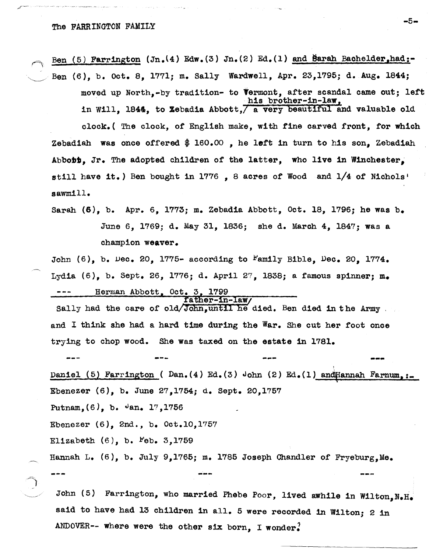*,r--.--* .. - - --., .'\_' ,\_, \_-.~~,<=r~\_'~ \_.\_

~

 $\bigcap$ 

Ben (5) Farrington (Jn.(4) Edw.(3) Jn.(2) Ed.(1) and Barah Bachelder,had:-

Ben (6), b. Oct. 8, 1771; m. Sally Wardwell, Apr. 23,1795; d. Aug. 1844; moved up North,-by tradition- to termont, atter scandal came out; lett his brother-in-law, in Will, 1844, to Zebadia Abbott,  $\overline{a}$  very beautiful and valuable old

clock.( The clock, of English make, with fine carved front, tor which Zebadiah was once offered  $$160.00$ , he left in turn to his son, Zebadiah Abbobt, Jr. The adopted children of the latter, who live in Winchester, still have it.) Ben bought in 1776, 8 acres of Wood and 1/4 of Nichols' sawmill.

Sarah  $(6)$ , b. Apr. 6, 1773; m. Zebadia Abbott, Oct. 18, 1796; he was b. June 6, 1769; d. May 31, 1836; she d. March 4, 1847; was a champion weaver.

John (6), b. Dec. 20, 1775- according to Family Bible, Dec. 20, 1774. Lydia (6), b. Sept. 26, 1776; d. April 27, 1838; a famous spinner; m. Herman Abbott, Oct. 3, 1799<br>father-in-law/

sally had the care of old/John, until he died. Ben died in the Army , and I think she had a hard time during the War. She cut her toot once trying to chop wood. She was taxed on the estate 1n 1781.

**---** , Daniel (5) Farrington ( Dan.(4) Ed.(3) John (2) Ed.(1) and Hannah Farnum,:. Ebenezer (6), b. June 27,1754; d. Sept. 20,1757 Putnam,  $(6)$ , b.  $\theta$ an. 17, 1756 Ebenezer (6), 2nd., b. Oct.IO,1757 Elizabeth  $(6)$ , b.  $Feb. 3,1759$ Hannah L.  $(6)$ , b. July 9,1765; m. 1785 Joseph Chandler of Fryeburg.Me.

John (5) Farrington, who married Phebe Poor, lived awhile in Wilton,  $N_{\bullet}H_{\bullet}$ said to have had 13 children in all. 5 were recorded in Wilton; 2 in ANDOVER-- where were the other six born, I wonder.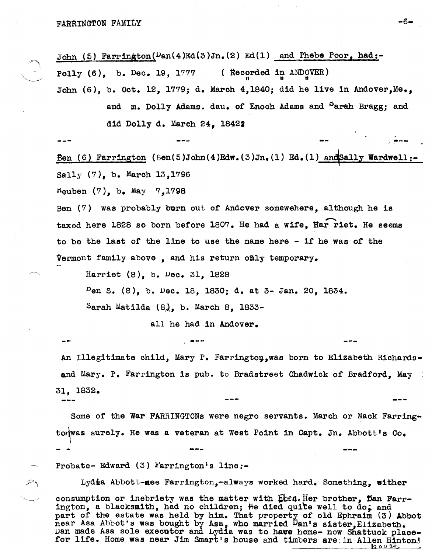John (5) Farrington( $\nu$ an(4)Ed(3)Jn.(2) Ed(1) and Phebe Poor, had:-Polly  $(6)$ , b. Dec. 19, 1777 (Recorded in ANDOVER) John (6), b. Oct. 12, 1779; d. March 4,1840; did he live in Andover, Me., and m. Dolly Adams. dau. of Enoch Adams and Parah Bragg; and did Dolly d. March 24, 18421

Sen (6) Farrington (Ben(5)John(4)Edw.(3)Jn.(1) Ed.(1) and Sally Wardwell:-Sally (7), b. March 13,1796

 $r_{\text{euben}}$  (7), b. May 7,1798

Ben (7) was probably burn out of Andover somewehere, although he is taxed here 1828 so born before 1807. He had a wife, Har riet. He seems to be the last of the line to use the name here - if he was of the Vermont family above , and his return omly temporary.

Harriet (8), b. vec. 31, 1828

 $P_{en}$  S. (8), b. Dec. 18, 1830; d. at 3- Jan. 20, 1834.

 $S$ arah Matilda  $(8)$ , b. March 8, 1833-

all he had in Andover.

An Illegitimate child, Mary P. Farrington, was born to Elizabeth Richardsand Mary. P. Farrington is pub. to Bradstreet Chadwick of Bradford. May 31, 1832.

Some of the War FARRINGTONs were negro servants. March or Mack Farringto was surely. He was a veteran at West Point in Capt. Jn. Abbott's Co.

Probate- Edward  $(3)$  Farrington's line:-

Lydia Abbott-nee Farrington,-always worked hard. Something, wither consumption or inebriety was the matter with Len. Her brother, Dan Farrington, a blacksmith, had no children; He died quite well to do, and part of the estate was held by him. That property of old Ephraim (3) Abbot near Asa Abbot's was bought by Asa, who married Dan's sister, Elizabeth. van made Asa sole executor and Lydia was to have home- now Shattuck place-<br>for life. Home was near Jim Smart's house and timbers are in Allen Hinton! for life. Home was near Jim Smart's house and timbers are in Allen Hinton!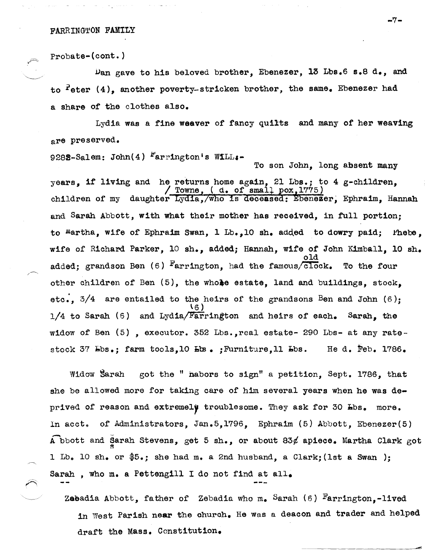# FARRINGTON FAMILY

Probate-(cont.)

Dan gave to his beloved brother, Ebenezer, 13 Lbs.6 s.8 d., and to  $f$  eter  $(4)$ , another poverty-stricken brother, the same. Ebenezer had a share of the clothes also.

Lydia was a fine weaver of fancy quilts and many of her weaving are preserved.

9282-Salem: John(4)  $^{\text{F}}$ arrington's WiLL:-

g-children, children of my daughter Lydia, who is deceased: Ebenezer, Ephraim, Hannah and Sarah Abbott, with what their mother has received, in full portion; to Martha, wife of Ephraim Swan, 1 Lb., 10 sh. added to dowry paid;  $\Delta$  Phebe, wife of Richard Parker, 10 sh., added; Hannah, wife of John Kimball, 10 sh. old added; grandson Ben  $(6)$  Farrington, had the famous/ $\overline{c1oc}$ k. To the four other children of Ben  $(5)$ , the whoke estate, land and buildings, stock, etc.,  $3/4$  are entailed to the heirs of the grandsons Ben and John (6);  $\overline{\mathfrak{c}_6}$ )  $1/4$  to Sarah (6) and Lydia/Farrington and heirs of each. Sarah, the widow of Ben (5) , executor. 352 Lbs.,real estate- 290 Lbs- at any ratestock 37 Lbs.; farm tools, 10 Lbs. ; Furniture, 11 Lbs. He d. Feb. 1786.

Widow Sarah got the " habors to sign" a petition, Sept. 1786, that she be allowed more for taking care of him several years when he was deprived of reason and extremely troublesome. They ask for 30 Lbs. more. In acct. of Administrators, Jan.5,1796, Ephraim (5) Abbott, Ebenezer(5) A bbott and Sarah Stevens, get 5 sh., or about 83 $\ell$  apiece. Martha Clark got 1 Lb. 10 sh. or  $$5.$ ; she had m. a 2nd husband, a Clark; (1st a Swan); Sarah , who m. a Pettengill I do not find at all.

Zabadia Abbott, father of Zebadia who m. Sarah  $(6)$  Farrington,-lived in West Parish near the church. He was a deacon and trader and helped draft the Mass. Constitution.

-7-

To son John, long absent many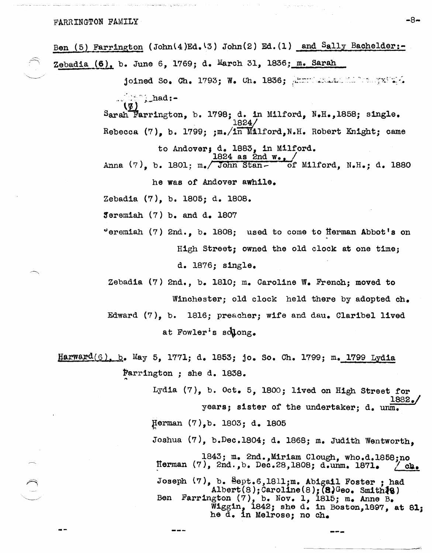# FARRINGTON FAMILY -8-

| Ben (5) Farrington (John(4)Ed.(3) John(2) Ed.(1) and Sally Bachelder:-                                                                                                                                                           |
|----------------------------------------------------------------------------------------------------------------------------------------------------------------------------------------------------------------------------------|
| Zebadia (6), b. June 6, 1769; d. March 31, 1836; m. Sarah                                                                                                                                                                        |
| joined So. Ch. 1793; W. Ch. 1836; Annual Alexandrich Prince of                                                                                                                                                                   |
| $\ldots$ $\ldots$ $\ldots$ $\ldots$                                                                                                                                                                                              |
| Sarah Farrington, b. 1798; d. in Milford, N.H., 1858; single.<br>Rebecca (7), b. 1799; $\text{cm}_{\bullet}/\text{m}$ Milford, N.H. Robert Knight; came                                                                          |
|                                                                                                                                                                                                                                  |
| to Andover; d. 1883, in Milford.<br>Anna $(7)$ , b. 1801; m./ John Stan- of Milford, N.H.; d. 1880                                                                                                                               |
| he was of Andover awhile.                                                                                                                                                                                                        |
| Zebadia (7), b. 1805; d. 1808.                                                                                                                                                                                                   |
| Jeremiah (7) b. and d. 1807                                                                                                                                                                                                      |
| "eremiah $(7)$ 2nd., b. 1808; used to come to Herman Abbot's on                                                                                                                                                                  |
| High Street; owned the old clock at one time;                                                                                                                                                                                    |
| d. 1876; single.                                                                                                                                                                                                                 |
| Zebadia (7) 2nd., b. 1810; m. Caroline W. French; moved to                                                                                                                                                                       |
| Winchester; old clock held there by adopted ch.                                                                                                                                                                                  |
| Edward (7), b. 1816; preacher; wife and dau. Claribel lived                                                                                                                                                                      |
| at Fowler's solong.                                                                                                                                                                                                              |
| Harward(6), b. May 5, 1771; d. 1853; jo. So. Ch. 1799; m. 1799 Lydia                                                                                                                                                             |
| Farrington; she d. 1838.                                                                                                                                                                                                         |
| Lydia $(7)$ , b. Oct. 5, 1800; lived on High Street for<br>1882./                                                                                                                                                                |
| years; sister of the undertaker; d. unm.                                                                                                                                                                                         |
| Herman (7), b. 1803; d. 1805                                                                                                                                                                                                     |
| Joshua (7), b.Dec.1804; d. 1868; m. Judith Wentworth,                                                                                                                                                                            |
| 1843; m. 2nd., Miriam Clough, who.d.1858; no<br>Herman (7), 2nd., b. Dec.28, 1808; d.unm. 1871.<br>$\angle$ ch.                                                                                                                  |
| Joseph (7), b. Sept.6,1811;m. Abigail Foster; had<br>Albert(8); Caroline(8); (8)Geo. Smith $ig$ )<br>Ben Farrington (7), b. Nov. 1, 1815; m. Anne B.<br>Wiggin, 1842; she d. in Boston, 1897, at 81;<br>he d. in Melrose; no ch. |

---

المعرف والمعارض

 $\bar{z}$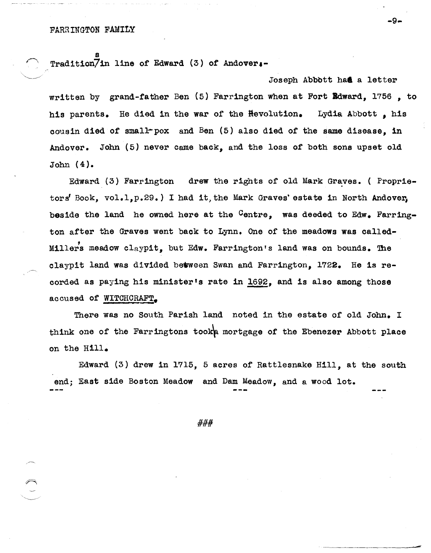s Tradition7in line of Edward (3) of Andover.-

Joseph Abbott had a letter written by grand-father Ben (5) Farrington when at Fort Idward, 1756 , to his parents. He died in the war of the Hevolution. Lydia Abbott, his oousin died of small-pox and Ben (5) also d1ed of the same disease, in Andover. John (5) never oame baok, and the loss of both sons upset old John (4).

Edward  $(3)$  Farrington drew the rights of old Mark Graves. ( Proprietors' Book, vol.1,p.29.) I had it, the Mark Graves' estate in North Andover, beside the land he owned here at the Centre, was deeded to Edw. Farrington after the Graves went baok to Lynn. One of the meadows was oalled-Millers meadow claypit, but Edw. Farrington's land was on bounds. The claypit land was divided between Swan and Farrington, 1722. He is recorded as paying his minister's rate in 1692, and is also among those accused of WITCHCRAFT.

There was no South Parish land noted in the estate of old John. I think one of the Farringtons took mortgage of the Ebenezer Abbott place on the Hill.

Edward (3) drew in 1715, 5 acres of Rattlesnake Hill, at the south end; East side Boston Meadow and Dam Meadow, and a wood lot.

###